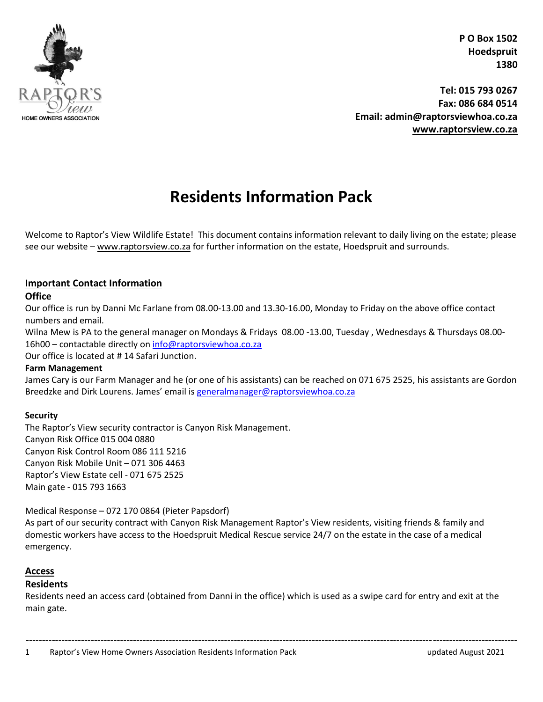

**Tel: 015 793 0267 Fax: 086 684 0514 Email: admin@raptorsviewhoa.co.za [www.raptorsview.co.za](http://www.raptorsview.co.za/)**

# **Residents Information Pack**

Welcome to Raptor's View Wildlife Estate! This document contains information relevant to daily living on the estate; please see our website – [www.raptorsview.co.za](http://www.raptorsview.co.za/) for further information on the estate, Hoedspruit and surrounds.

#### **Important Contact Information**

#### **Office**

Our office is run by Danni Mc Farlane from 08.00-13.00 and 13.30-16.00, Monday to Friday on the above office contact numbers and email.

Wilna Mew is PA to the general manager on Mondays & Fridays 08.00 -13.00, Tuesday , Wednesdays & Thursdays 08.00 16h00 – contactable directly on [info@raptorsviewhoa.co.za](mailto:info@raptorsviewhoa.co.za)

Our office is located at # 14 Safari Junction.

#### **Farm Management**

James Cary is our Farm Manager and he (or one of his assistants) can be reached on 071 675 2525, his assistants are Gordon Breedzke and Dirk Lourens. James' email is [generalmanager@raptorsviewhoa.co.za](mailto:generalmanager@raptorsviewhoa.co.za)

#### **Security**

The Raptor's View security contractor is Canyon Risk Management. Canyon Risk Office 015 004 0880 Canyon Risk Control Room 086 111 5216 Canyon Risk Mobile Unit – 071 306 4463 Raptor's View Estate cell - 071 675 2525 Main gate - 015 793 1663

#### Medical Response – 072 170 0864 (Pieter Papsdorf)

As part of our security contract with Canyon Risk Management Raptor's View residents, visiting friends & family and domestic workers have access to the Hoedspruit Medical Rescue service 24/7 on the estate in the case of a medical emergency.

#### **Access**

#### **Residents**

Residents need an access card (obtained from Danni in the office) which is used as a swipe card for entry and exit at the main gate.

1 Raptor's View Home Owners Association Residents Information Pack updated August 2021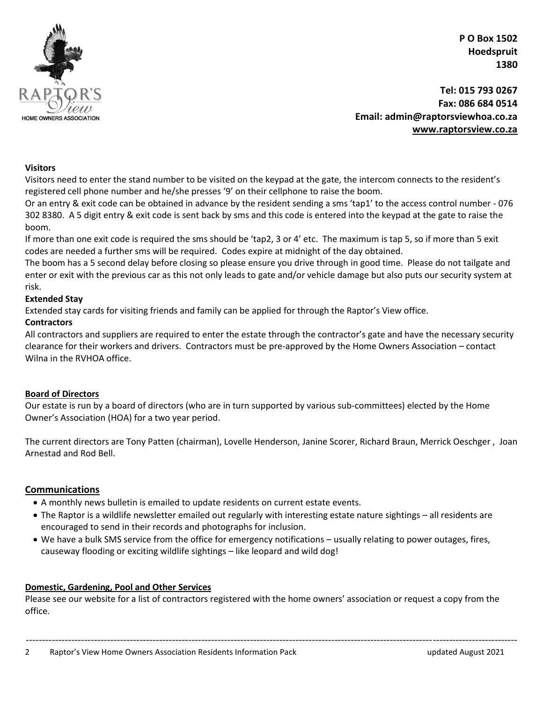

**Tel: 015 793 0267 Fax: 086 684 0514 Email: admin@raptorsviewhoa.co.za [www.raptorsview.co.za](http://www.raptorsview.co.za/)**

#### **Visitors**

Visitors need to enter the stand number to be visited on the keypad at the gate, the intercom connects to the resident's registered cell phone number and he/she presses '9' on their cellphone to raise the boom.

Or an entry & exit code can be obtained in advance by the resident sending a sms 'tap1' to the access control number - 076 302 8380. A 5 digit entry & exit code is sent back by sms and this code is entered into the keypad at the gate to raise the boom.

If more than one exit code is required the sms should be 'tap2, 3 or 4' etc. The maximum is tap 5, so if more than 5 exit codes are needed a further sms will be required. Codes expire at midnight of the day obtained.

The boom has a 5 second delay before closing so please ensure you drive through in good time. Please do not tailgate and enter or exit with the previous car as this not only leads to gate and/or vehicle damage but also puts our security system at risk.

#### **Extended Stay**

Extended stay cards for visiting friends and family can be applied for through the Raptor's View office.

#### **Contractors**

All contractors and suppliers are required to enter the estate through the contractor's gate and have the necessary security clearance for their workers and drivers. Contractors must be pre-approved by the Home Owners Association – contact Wilna in the RVHOA office.

#### **Board of Directors**

Our estate is run by a board of directors (who are in turn supported by various sub-committees) elected by the Home Owner's Association (HOA) for a two year period.

The current directors are Tony Patten (chairman), Lovelle Henderson, Janine Scorer, Richard Braun, Merrick Oeschger , Joan Arnestad and Rod Bell.

#### **Communications**

- A monthly news bulletin is emailed to update residents on current estate events.
- The Raptor is a wildlife newsletter emailed out regularly with interesting estate nature sightings all residents are encouraged to send in their records and photographs for inclusion.
- We have a bulk SMS service from the office for emergency notifications usually relating to power outages, fires, causeway flooding or exciting wildlife sightings – like leopard and wild dog!

#### **Domestic, Gardening, Pool and Other Services**

Please see our website for a list of contractors registered with the home owners' association or request a copy from the office.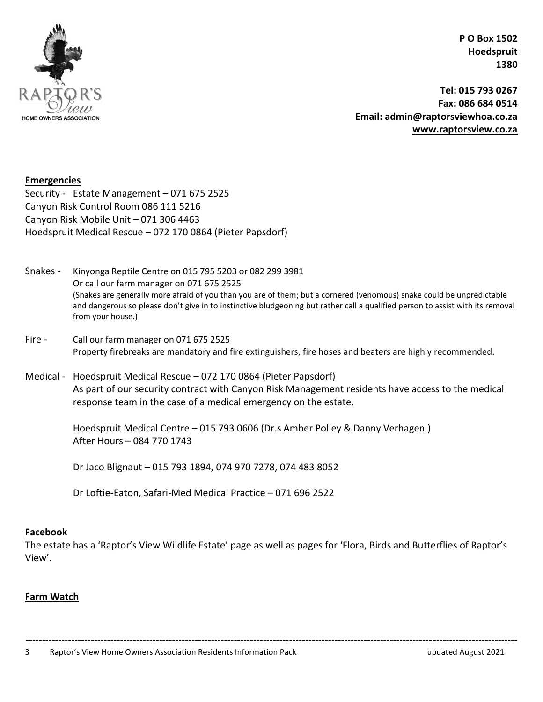

**Tel: 015 793 0267 Fax: 086 684 0514 Email: admin@raptorsviewhoa.co.za [www.raptorsview.co.za](http://www.raptorsview.co.za/)**

#### **Emergencies**

Security - Estate Management – 071 675 2525 Canyon Risk Control Room 086 111 5216 Canyon Risk Mobile Unit – 071 306 4463 Hoedspruit Medical Rescue – 072 170 0864 (Pieter Papsdorf)

- Snakes Kinyonga Reptile Centre on 015 795 5203 or 082 299 3981 Or call our farm manager on 071 675 2525 (Snakes are generally more afraid of you than you are of them; but a cornered (venomous) snake could be unpredictable and dangerous so please don't give in to instinctive bludgeoning but rather call a qualified person to assist with its removal from your house.)
- Fire Call our farm manager on 071 675 2525 Property firebreaks are mandatory and fire extinguishers, fire hoses and beaters are highly recommended.
- Medical Hoedspruit Medical Rescue 072 170 0864 (Pieter Papsdorf) As part of our security contract with Canyon Risk Management residents have access to the medical response team in the case of a medical emergency on the estate.

Hoedspruit Medical Centre – 015 793 0606 (Dr.s Amber Polley & Danny Verhagen ) After Hours – 084 770 1743

Dr Jaco Blignaut – 015 793 1894, 074 970 7278, 074 483 8052

Dr Loftie-Eaton, Safari-Med Medical Practice – 071 696 2522

#### **Facebook**

The estate has a 'Raptor's View Wildlife Estate' page as well as pages for 'Flora, Birds and Butterflies of Raptor's View'.

#### **Farm Watch**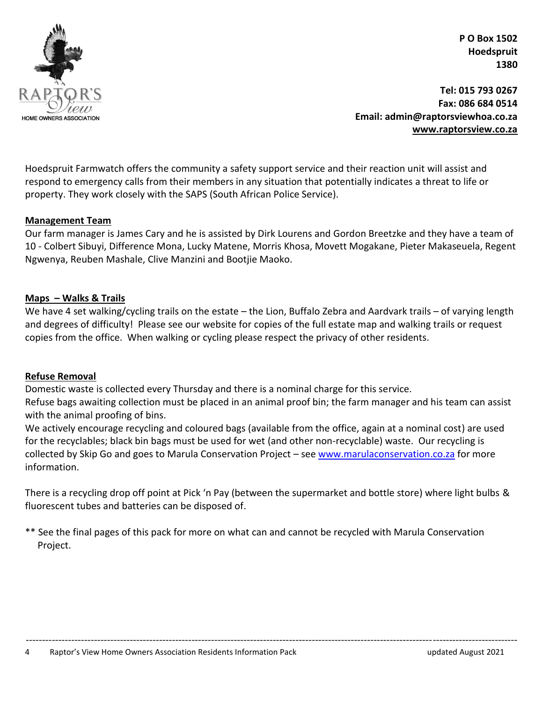

**Tel: 015 793 0267 Fax: 086 684 0514 Email: admin@raptorsviewhoa.co.za [www.raptorsview.co.za](http://www.raptorsview.co.za/)**

Hoedspruit Farmwatch offers the community a safety support service and their reaction unit will assist and respond to emergency calls from their members in any situation that potentially indicates a threat to life or property. They work closely with the SAPS (South African Police Service).

#### **Management Team**

Our farm manager is James Cary and he is assisted by Dirk Lourens and Gordon Breetzke and they have a team of 10 - Colbert Sibuyi, Difference Mona, Lucky Matene, Morris Khosa, Movett Mogakane, Pieter Makaseuela, Regent Ngwenya, Reuben Mashale, Clive Manzini and Bootjie Maoko.

#### **Maps – Walks & Trails**

We have 4 set walking/cycling trails on the estate – the Lion, Buffalo Zebra and Aardvark trails – of varying length and degrees of difficulty! Please see our website for copies of the full estate map and walking trails or request copies from the office. When walking or cycling please respect the privacy of other residents.

#### **Refuse Removal**

Domestic waste is collected every Thursday and there is a nominal charge for this service. Refuse bags awaiting collection must be placed in an animal proof bin; the farm manager and his team can assist with the animal proofing of bins.

We actively encourage recycling and coloured bags (available from the office, again at a nominal cost) are used for the recyclables; black bin bags must be used for wet (and other non-recyclable) waste. Our recycling is collected by Skip Go and goes to Marula Conservation Project - see [www.marulaconservation.co.za](http://www.marulaconservation.co.za/) for more information.

There is a recycling drop off point at Pick 'n Pay (between the supermarket and bottle store) where light bulbs & fluorescent tubes and batteries can be disposed of.

-------------------------------------------------------------------------------------------------------------------------------------------------------

\*\* See the final pages of this pack for more on what can and cannot be recycled with Marula Conservation Project.

4 Raptor's View Home Owners Association Residents Information Pack updated August 2021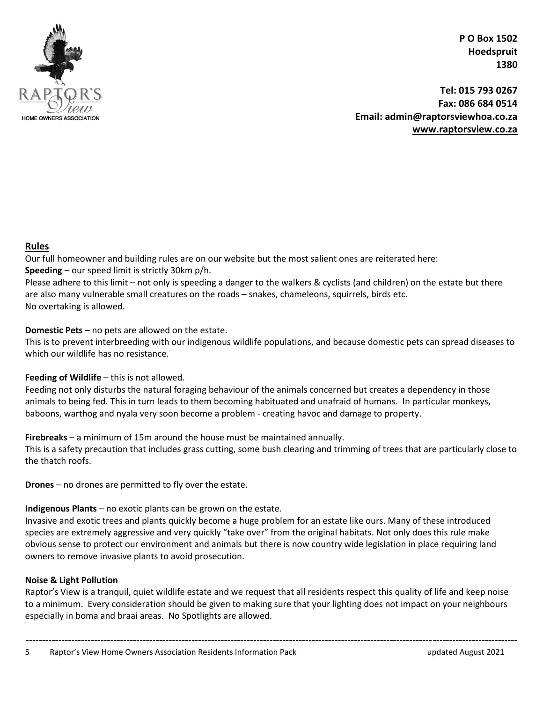

**Tel: 015 793 0267 Fax: 086 684 0514 Email: admin@raptorsviewhoa.co.za [www.raptorsview.co.za](http://www.raptorsview.co.za/)**

#### **Rules**

Our full homeowner and building rules are on our website but the most salient ones are reiterated here: **Speeding** – our speed limit is strictly 30km p/h.

Please adhere to this limit – not only is speeding a danger to the walkers & cyclists (and children) on the estate but there are also many vulnerable small creatures on the roads – snakes, chameleons, squirrels, birds etc. No overtaking is allowed.

#### **Domestic Pets** – no pets are allowed on the estate.

This is to prevent interbreeding with our indigenous wildlife populations, and because domestic pets can spread diseases to which our wildlife has no resistance.

#### **Feeding of Wildlife** – this is not allowed.

Feeding not only disturbs the natural foraging behaviour of the animals concerned but creates a dependency in those animals to being fed. This in turn leads to them becoming habituated and unafraid of humans. In particular monkeys, baboons, warthog and nyala very soon become a problem - creating havoc and damage to property.

**Firebreaks** – a minimum of 15m around the house must be maintained annually.

This is a safety precaution that includes grass cutting, some bush clearing and trimming of trees that are particularly close to the thatch roofs.

**Drones** – no drones are permitted to fly over the estate.

### **Indigenous Plants** – no exotic plants can be grown on the estate.

Invasive and exotic trees and plants quickly become a huge problem for an estate like ours. Many of these introduced species are extremely aggressive and very quickly "take over" from the original habitats. Not only does this rule make obvious sense to protect our environment and animals but there is now country wide legislation in place requiring land owners to remove invasive plants to avoid prosecution.

#### **Noise & Light Pollution**

Raptor's View is a tranquil, quiet wildlife estate and we request that all residents respect this quality of life and keep noise to a minimum. Every consideration should be given to making sure that your lighting does not impact on your neighbours especially in boma and braai areas. No Spotlights are allowed.

------------------------------------------------------------------------------------------------------------------------------------------------------- 5 Raptor's View Home Owners Association Residents Information Pack updated August 2021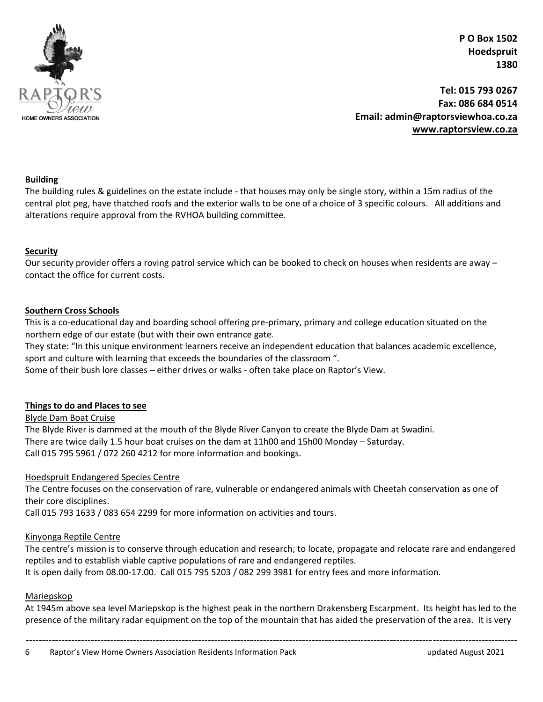

**Tel: 015 793 0267 Fax: 086 684 0514 Email: admin@raptorsviewhoa.co.za [www.raptorsview.co.za](http://www.raptorsview.co.za/)**

#### **Building**

The building rules & guidelines on the estate include - that houses may only be single story, within a 15m radius of the central plot peg, have thatched roofs and the exterior walls to be one of a choice of 3 specific colours. All additions and alterations require approval from the RVHOA building committee.

#### **Security**

Our security provider offers a roving patrol service which can be booked to check on houses when residents are away – contact the office for current costs.

#### **Southern Cross Schools**

This is a co-educational day and boarding school offering pre-primary, primary and college education situated on the northern edge of our estate (but with their own entrance gate.

They state: "In this unique environment learners receive an independent education that balances academic excellence, sport and culture with learning that exceeds the boundaries of the classroom ".

Some of their bush lore classes – either drives or walks - often take place on Raptor's View.

#### **Things to do and Places to see**

Blyde Dam Boat Cruise

The Blyde River is dammed at the mouth of the Blyde River Canyon to create the Blyde Dam at Swadini. There are twice daily 1.5 hour boat cruises on the dam at 11h00 and 15h00 Monday – Saturday. Call 015 795 5961 / 072 260 4212 for more information and bookings.

#### Hoedspruit Endangered Species Centre

The Centre focuses on the conservation of rare, vulnerable or endangered animals with Cheetah conservation as one of their core disciplines.

Call 015 793 1633 / 083 654 2299 for more information on activities and tours.

#### Kinyonga Reptile Centre

The centre's mission is to conserve through education and research; to locate, propagate and relocate rare and endangered reptiles and to establish viable captive populations of rare and endangered reptiles. It is open daily from 08.00-17.00. Call 015 795 5203 / 082 299 3981 for entry fees and more information.

#### Mariepskop

At 1945m above sea level Mariepskop is the highest peak in the northern Drakensberg Escarpment. Its height has led to the presence of the military radar equipment on the top of the mountain that has aided the preservation of the area. It is very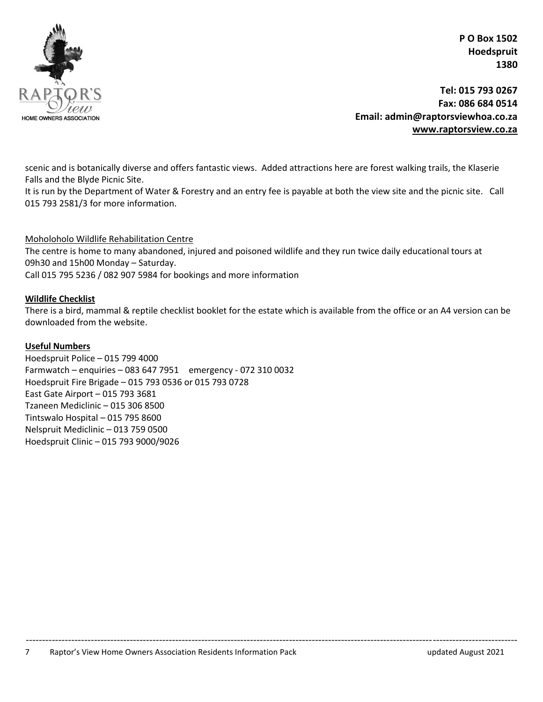

**Tel: 015 793 0267 Fax: 086 684 0514 Email: admin@raptorsviewhoa.co.za [www.raptorsview.co.za](http://www.raptorsview.co.za/)**

scenic and is botanically diverse and offers fantastic views. Added attractions here are forest walking trails, the Klaserie Falls and the Blyde Picnic Site.

It is run by the Department of Water & Forestry and an entry fee is payable at both the view site and the picnic site. Call 015 793 2581/3 for more information.

Moholoholo Wildlife Rehabilitation Centre

The centre is home to many abandoned, injured and poisoned wildlife and they run twice daily educational tours at 09h30 and 15h00 Monday – Saturday.

Call 015 795 5236 / 082 907 5984 for bookings and more information

#### **Wildlife Checklist**

There is a bird, mammal & reptile checklist booklet for the estate which is available from the office or an A4 version can be downloaded from the website.

#### **Useful Numbers**

Hoedspruit Police – 015 799 4000 Farmwatch – enquiries – 083 647 7951 emergency - 072 310 0032 Hoedspruit Fire Brigade – 015 793 0536 or 015 793 0728 East Gate Airport – 015 793 3681 Tzaneen Mediclinic – 015 306 8500 Tintswalo Hospital – 015 795 8600 Nelspruit Mediclinic – 013 759 0500 Hoedspruit Clinic – 015 793 9000/9026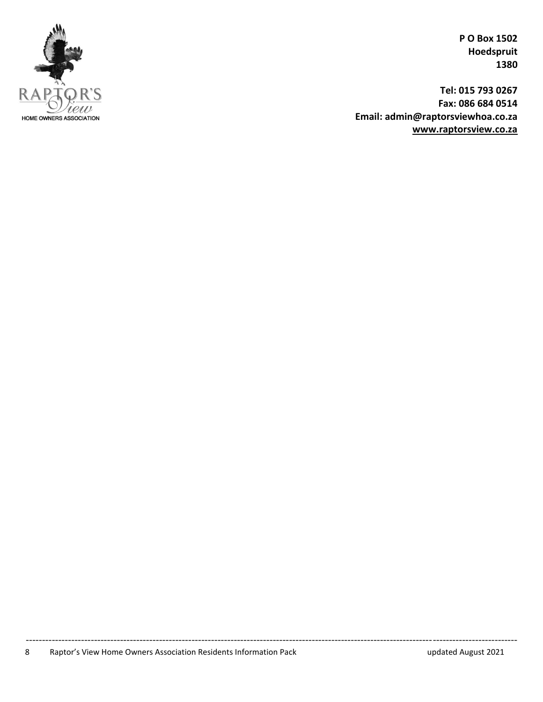

**Tel: 015 793 0267 Fax: 086 684 0514 Email: admin@raptorsviewhoa.co.za [www.raptorsview.co.za](http://www.raptorsview.co.za/)**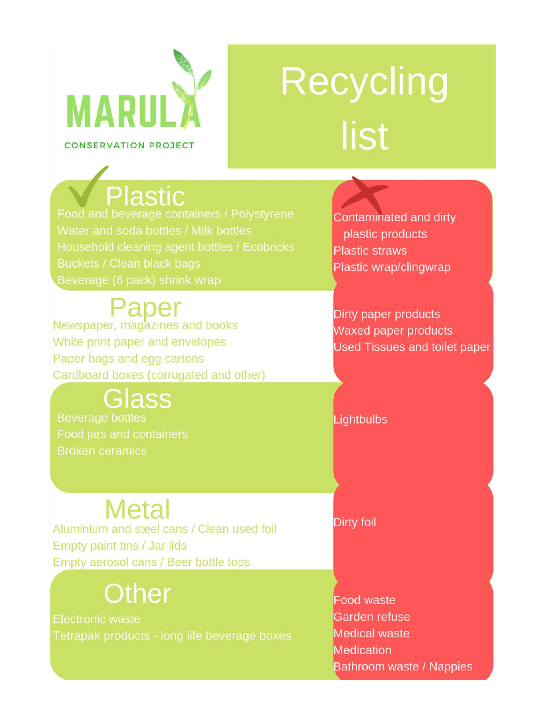

# Recycling list

Food and beverage containers / Polystyrene Beverage (6 pack) shrink wrap

# Paper

Newspaper, magazines and books White print paper and envelopes Paper bags and egg cartons Cardboard boxes (corrugated and other)

# Glass

**Beverage bottles Broken ceramics** 

# **Metal**

Aluminium and steel cans / Clean used foil Empty paint tins / Jar lids Empty aerosol cans / Beer bottle tops

# **Other**

**Electronic waste** 

Contaminated and dirty plastic products **Plastic straws** Plastic wrap/clingwrap

Dirty paper products Waxed paper products **Used Tissues and toilet paper** 

Lightbulbs

**Dirty foil** 

**Food waste** Garden refuse **Medical waste Medication** Bathroom waste / Nappies